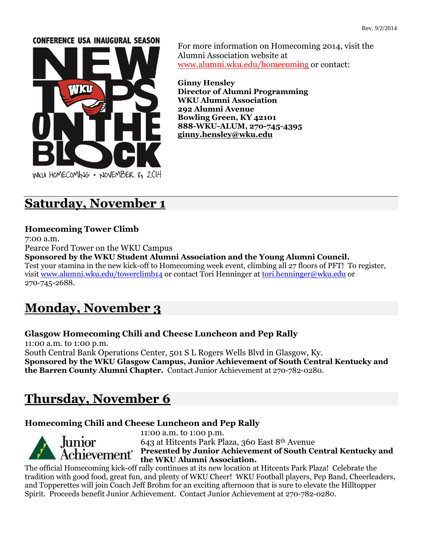#### **CONFERENCE USA INAUGURAL SEASON**



For more information on Homecoming 2014, visit the Alumni Association website at [www.alumni.wku.edu/homecoming](http://www.alumni.wku.edu/homecoming) or contact:

**Ginny Hensley Director of Alumni Programming WKU Alumni Association 292 Alumni Avenue Bowling Green, KY 42101 888-WKU-ALUM, 270-745-4395 [ginny.hensley@wku.edu](mailto:ginny.hensley@wku.edu)**

# **Saturday, November 1**

## **Homecoming Tower Climb**

7:00 a.m.

Pearce Ford Tower on the WKU Campus

**Sponsored by the WKU Student Alumni Association and the Young Alumni Council.**  Test your stamina in the new kick-off to Homecoming week event, climbing all 27 floors of PFT! To register, visit [www.alumni.wku.edu/towerclimb14](http://www.alumni.wku.edu/towerclimb14) or contact Tori Henninger at [tori.henninger@wku.edu](mailto:tori.henninger@wku.edu) or 270-745-2688.

# **Monday, November 3**

# **Glasgow Homecoming Chili and Cheese Luncheon and Pep Rally**

11:00 a.m. to 1:00 p.m. South Central Bank Operations Center, 501 S L Rogers Wells Blvd in Glasgow, Ky. **Sponsored by the WKU Glasgow Campus, Junior Achievement of South Central Kentucky and the Barren County Alumni Chapter.** Contact Junior Achievement at 270-782-0280.

# **Thursday, November 6**

# **Homecoming Chili and Cheese Luncheon and Pep Rally**



11:00 a.m. to 1:00 p.m. 643 at Hitcents Park Plaza, 360 East 8th Avenue **Presented by Junior Achievement of South Central Kentucky and the WKU Alumni Association.**

The official Homecoming kick-off rally continues at its new location at Hitcents Park Plaza! Celebrate the tradition with good food, great fun, and plenty of WKU Cheer! WKU Football players, Pep Band, Cheerleaders, and Topperettes will join Coach Jeff Brohm for an exciting afternoon that is sure to elevate the Hilltopper Spirit. Proceeds benefit Junior Achievement. Contact Junior Achievement at 270-782-0280.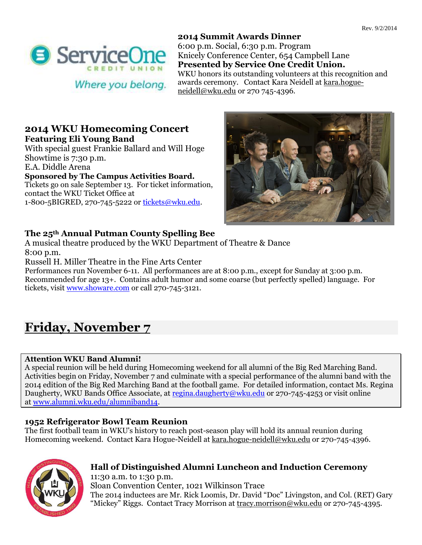

**2014 Summit Awards Dinner** 6:00 p.m. Social, 6:30 p.m. Program Knicely Conference Center, 654 Campbell Lane **Presented by Service One Credit Union.** WKU honors its outstanding volunteers at this recognition and awards ceremony. Contact Kara Neidell a[t kara.hogue](mailto:kara.hogue-neidell@wku.edu)[neidell@wku.edu](mailto:kara.hogue-neidell@wku.edu) or 270 745-4396.

# **2014 WKU Homecoming Concert Featuring Eli Young Band**

With special guest Frankie Ballard and Will Hoge Showtime is 7:30 p.m. E.A. Diddle Arena **Sponsored by The Campus Activities Board.**  Tickets go on sale September 13. For ticket information,

contact the WKU Ticket Office at 1-800-5BIGRED, 270-745-5222 or [tickets@wku.edu.](mailto:tickets@wku.edu)



# **The 25th Annual Putman County Spelling Bee**

A musical theatre produced by the WKU Department of Theatre & Dance 8:00 p.m.

Russell H. Miller Theatre in the Fine Arts Center

Performances run November 6-11. All performances are at 8:00 p.m., except for Sunday at 3:00 p.m. Recommended for age 13+. Contains adult humor and some coarse (but perfectly spelled) language. For tickets, visit [www.showare.com](http://www.showare.com/) or call 270-745-3121.

# **Friday, November 7**

#### **Attention WKU Band Alumni!**

A special reunion will be held during Homecoming weekend for all alumni of the Big Red Marching Band. Activities begin on Friday, November 7 and culminate with a special performance of the alumni band with the 2014 edition of the Big Red Marching Band at the football game. For detailed information, contact Ms. Regina Daugherty, WKU Bands Office Associate, at [regina.daugherty@wku.edu](mailto:regina.daugherty@wku.edu) or 270-745-4253 or visit online at [www.alumni.wku.edu/alumniband14.](http://www.alumni.wku.edu/alumniband14)

#### **1952 Refrigerator Bowl Team Reunion**

The first football team in WKU's history to reach post-season play will hold its annual reunion during Homecoming weekend. Contact Kara Hogue-Neidell at [kara.hogue-neidell@wku.edu](mailto:kara.hogue-neidell@wku.edu) or 270-745-4396.



#### **Hall of Distinguished Alumni Luncheon and Induction Ceremony** 11:30 a.m. to 1:30 p.m.

Sloan Convention Center, 1021 Wilkinson Trace The 2014 inductees are Mr. Rick Loomis, Dr. David "Doc" Livingston, and Col. (RET) Gary "Mickey" Riggs. Contact Tracy Morrison at [tracy.morrison@wku.edu](mailto:tracy.morrison@wku.edu) or 270-745-4395.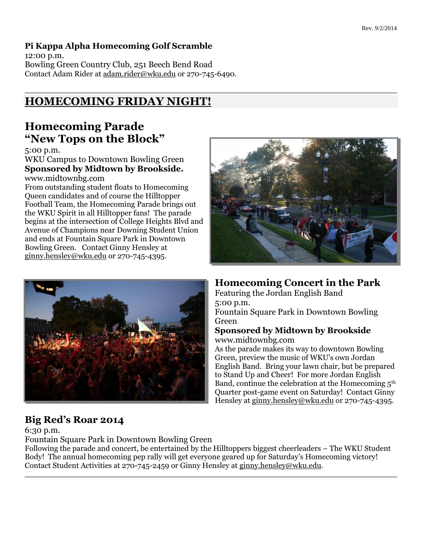# **Pi Kappa Alpha Homecoming Golf Scramble**

12:00 p.m. Bowling Green Country Club, 251 Beech Bend Road Contact Adam Rider a[t adam.rider@wku.edu](mailto:adam.rider@wku.edu) or 270-745-6490.

# **HOMECOMING FRIDAY NIGHT!**

# **Homecoming Parade "New Tops on the Block"**

5:00 p.m.

WKU Campus to Downtown Bowling Green **Sponsored by Midtown by Brookside.**  www.midtownbg.com

From outstanding student floats to Homecoming Queen candidates and of course the Hilltopper Football Team, the Homecoming Parade brings out the WKU Spirit in all Hilltopper fans! The parade begins at the intersection of College Heights Blvd and Avenue of Champions near Downing Student Union and ends at Fountain Square Park in Downtown Bowling Green. Contact Ginny Hensley at [ginny.hensley@wku.edu](mailto:ginny.hensley@wku.edu) or 270-745-4395.



# **Big Red's Roar 2014**

6:30 p.m.

Fountain Square Park in Downtown Bowling Green

Following the parade and concert, be entertained by the Hilltoppers biggest cheerleaders – The WKU Student Body! The annual homecoming pep rally will get everyone geared up for Saturday's Homecoming victory! Contact Student Activities at 270-745-2459 or Ginny Hensley at [ginny.hensley@wku.edu.](mailto:ginny.hensley@wku.edu)



# **Homecoming Concert in the Park**

Featuring the Jordan English Band 5:00 p.m. Fountain Square Park in Downtown Bowling Green

## **Sponsored by Midtown by Brookside** www.midtownbg.com

As the parade makes its way to downtown Bowling Green, preview the music of WKU's own Jordan English Band. Bring your lawn chair, but be prepared to Stand Up and Cheer! For more Jordan English Band, continue the celebration at the Homecoming  $5<sup>th</sup>$ Quarter post-game event on Saturday! Contact Ginny Hensley at [ginny.hensley@wku.edu](mailto:ginny.hensley@wku.edu) or 270-745-4395.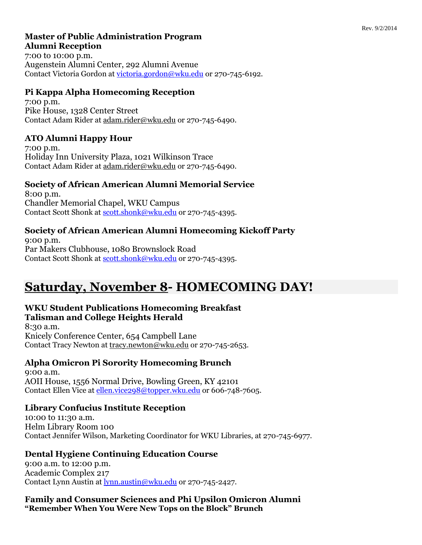# **Master of Public Administration Program Alumni Reception**

7:00 to 10:00 p.m. Augenstein Alumni Center, 292 Alumni Avenue Contact Victoria Gordon at [victoria.gordon@wku.edu](mailto:victoria.gordon@wku.edu) or 270-745-6192.

# **Pi Kappa Alpha Homecoming Reception**

7:00 p.m. Pike House, 1328 Center Street Contact Adam Rider at [adam.rider@wku.edu](mailto:adam.rider@wku.edu) or 270-745-6490.

## **ATO Alumni Happy Hour**

7:00 p.m. Holiday Inn University Plaza, 1021 Wilkinson Trace Contact Adam Rider a[t adam.rider@wku.edu](mailto:adam.rider@wku.edu) or 270-745-6490.

## **Society of African American Alumni Memorial Service**

8:00 p.m. Chandler Memorial Chapel, WKU Campus Contact Scott Shonk at [scott.shonk@wku.edu](mailto:scott.shonk@wku.edu) or 270-745-4395.

# **Society of African American Alumni Homecoming Kickoff Party**

9:00 p.m. Par Makers Clubhouse, 1080 Brownslock Road Contact Scott Shonk at [scott.shonk@wku.edu](mailto:scott.shonk@wku.edu) or 270-745-4395.

# **Saturday, November 8- HOMECOMING DAY!**

# **WKU Student Publications Homecoming Breakfast**

#### **Talisman and College Heights Herald**

8:30 a.m. Knicely Conference Center, 654 Campbell Lane Contact Tracy Newton at [tracy.newton@wku.edu](mailto:tracy.newton@wku.edu) or 270-745-2653.

# **Alpha Omicron Pi Sorority Homecoming Brunch**

9:00 a.m. AOII House, 1556 Normal Drive, Bowling Green, KY 42101 Contact Ellen Vice a[t ellen.vice298@topper.wku.edu](mailto:ellen.vice298@topper.wku.edu) or 606-748-7605.

# **Library Confucius Institute Reception**

10:00 to 11:30 a.m. Helm Library Room 100 Contact Jennifer Wilson, Marketing Coordinator for WKU Libraries, at 270-745-6977.

# **Dental Hygiene Continuing Education Course**

9:00 a.m. to 12:00 p.m. Academic Complex 217 Contact Lynn Austin a[t lynn.austin@wku.edu](mailto:lynn.austin@wku.edu) or 270-745-2427.

**Family and Consumer Sciences and Phi Upsilon Omicron Alumni "Remember When You Were New Tops on the Block" Brunch**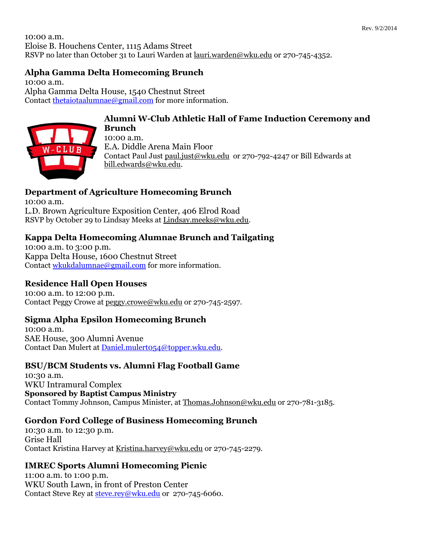10:00 a.m. Eloise B. Houchens Center, 1115 Adams Street RSVP no later than October 31 to Lauri Warden at [lauri.warden@wku.edu](mailto:lauri.warden@wku.edu) or 270-745-4352.

# **Alpha Gamma Delta Homecoming Brunch**

10:00 a.m. Alpha Gamma Delta House, 1540 Chestnut Street Contact [thetaiotaalumnae@gmail.com](mailto:thetaiotaalumnae@gmail.com) for more information.



#### **Alumni W-Club Athletic Hall of Fame Induction Ceremony and Brunch**

10:00 a.m. E.A. Diddle Arena Main Floor Contact Paul Just [paul.just@wku.edu](mailto:paul.just@wku.edu) or 270-792-4247 or Bill Edwards at [bill.edwards@wku.edu.](mailto:bill.edwards@wku.edu)

# **Department of Agriculture Homecoming Brunch**

10:00 a.m. L.D. Brown Agriculture Exposition Center, 406 Elrod Road RSVP by October 29 to Lindsay Meeks at [Lindsay.meeks@wku.edu.](mailto:Lindsay.meeks@wku.edu)

## **Kappa Delta Homecoming Alumnae Brunch and Tailgating**

10:00 a.m. to 3:00 p.m. Kappa Delta House, 1600 Chestnut Street Contact [wkukdalumnae@gmail.com](mailto:wkukdalumnae@gmail.com) for more information.

#### **Residence Hall Open Houses**

10:00 a.m. to 12:00 p.m. Contact Peggy Crowe at [peggy.crowe@wku.edu](mailto:peggy.crowe@wku.edu) or 270-745-2597.

#### **Sigma Alpha Epsilon Homecoming Brunch**

10:00 a.m. SAE House, 300 Alumni Avenue Contact Dan Mulert at [Daniel.mulert054@topper.wku.edu.](mailto:Daniel.mulert054@topper.wku.edu)

# **BSU/BCM Students vs. Alumni Flag Football Game**

10:30 a.m. WKU Intramural Complex **Sponsored by Baptist Campus Ministry** Contact Tommy Johnson, Campus Minister, at [Thomas.Johnson@wku.edu](mailto:Thomas.Johnson@wku.edu) or 270-781-3185.

#### **Gordon Ford College of Business Homecoming Brunch**

10:30 a.m. to 12:30 p.m. Grise Hall Contact Kristina Harvey at [Kristina.harvey@wku.edu](mailto:Kristina.harvey@wku.edu) or 270-745-2279.

#### **IMREC Sports Alumni Homecoming Picnic**

11:00 a.m. to 1:00 p.m. WKU South Lawn, in front of Preston Center Contact Steve Rey at [steve.rey@wku.edu](mailto:steve.rey@wku.edu) or 270-745-6060.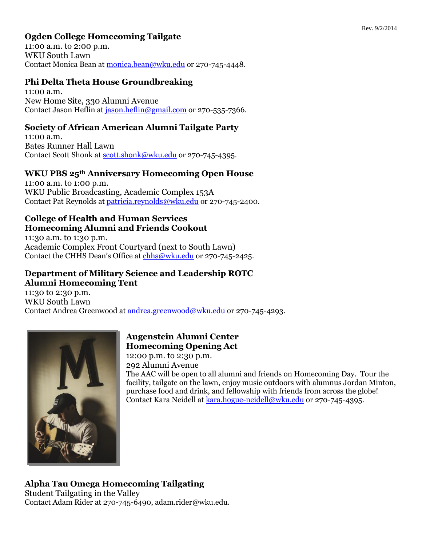# **Ogden College Homecoming Tailgate**

11:00 a.m. to 2:00 p.m. WKU South Lawn Contact Monica Bean at [monica.bean@wku.edu](mailto:monica.bean@wku.edu) or 270-745-4448.

## **Phi Delta Theta House Groundbreaking**

11:00 a.m. New Home Site, 330 Alumni Avenue Contact Jason Heflin a[t jason.heflin@gmail.com](mailto:jason.heflin@gmail.com) or 270-535-7366.

# **Society of African American Alumni Tailgate Party**

11:00 a.m. Bates Runner Hall Lawn Contact Scott Shonk at [scott.shonk@wku.edu](mailto:scott.shonk@wku.edu) or 270-745-4395.

#### **WKU PBS 25th Anniversary Homecoming Open House**

11:00 a.m. to 1:00 p.m. WKU Public Broadcasting, Academic Complex 153A Contact Pat Reynolds a[t patricia.reynolds@wku.edu](mailto:patricia.reynolds@wku.edu) or 270-745-2400.

#### **College of Health and Human Services Homecoming Alumni and Friends Cookout**

11:30 a.m. to 1:30 p.m. Academic Complex Front Courtyard (next to South Lawn) Contact the CHHS Dean's Office at [chhs@wku.edu](mailto:chhs@wku.edu) or 270-745-2425.

## **Department of Military Science and Leadership ROTC Alumni Homecoming Tent**

11:30 to 2:30 p.m. WKU South Lawn Contact Andrea Greenwood at [andrea.greenwood@wku.edu](mailto:andrea.greenwood@wku.edu) or 270-745-4293.



# **Augenstein Alumni Center Homecoming Opening Act**

12:00 p.m. to 2:30 p.m. 292 Alumni Avenue The AAC will be open to all alumni and friends on Homecoming Day. Tour the facility, tailgate on the lawn, enjoy music outdoors with alumnus Jordan Minton, purchase food and drink, and fellowship with friends from across the globe! Contact Kara Neidell a[t kara.hogue-neidell@wku.edu](mailto:kara.hogue-neidell@wku.edu) or 270-745-4395.

# **Alpha Tau Omega Homecoming Tailgating**

Student Tailgating in the Valley Contact Adam Rider at 270-745-6490, [adam.rider@wku.edu.](mailto:adam.rider@wku.edu)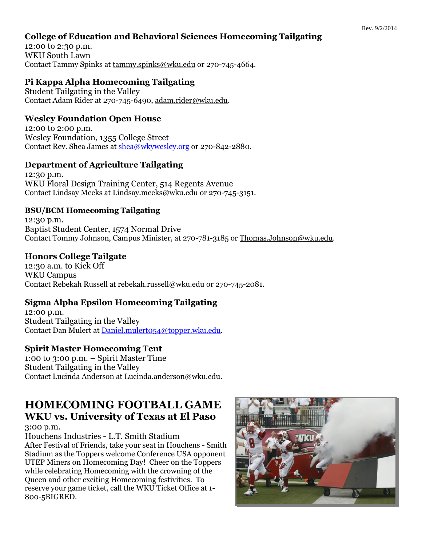## **College of Education and Behavioral Sciences Homecoming Tailgating**

12:00 to 2:30 p.m. WKU South Lawn Contact Tammy Spinks at [tammy.spinks@wku.edu](mailto:tammy.spinks@wku.edu) or 270-745-4664.

# **Pi Kappa Alpha Homecoming Tailgating**

Student Tailgating in the Valley Contact Adam Rider at 270-745-6490, [adam.rider@wku.edu.](mailto:adam.rider@wku.edu)

# **Wesley Foundation Open House**

12:00 to 2:00 p.m. Wesley Foundation, 1355 College Street Contact Rev. Shea James at [shea@wkywesley.org](mailto:shea@wkywesley.org) or 270-842-2880.

# **Department of Agriculture Tailgating**

12:30 p.m. WKU Floral Design Training Center, 514 Regents Avenue Contact Lindsay Meeks at [Lindsay.meeks@wku.edu](mailto:Lindsay.meeks@wku.edu) or 270-745-3151.

## **BSU/BCM Homecoming Tailgating**

12:30 p.m. Baptist Student Center, 1574 Normal Drive Contact Tommy Johnson, Campus Minister, at 270-781-3185 o[r Thomas.Johnson@wku.edu.](mailto:Thomas.Johnson@wku.edu)

# **Honors College Tailgate**

12:30 a.m. to Kick Off WKU Campus Contact Rebekah Russell at rebekah.russell@wku.edu or 270-745-2081.

# **Sigma Alpha Epsilon Homecoming Tailgating**

12:00 p.m. Student Tailgating in the Valley Contact Dan Mulert at [Daniel.mulert054@topper.wku.edu.](mailto:Daniel.mulert054@topper.wku.edu)

# **Spirit Master Homecoming Tent**

1:00 to 3:00 p.m. – Spirit Master Time Student Tailgating in the Valley Contact Lucinda Anderson at [Lucinda.anderson@wku.edu.](mailto:Lucinda.anderson@wku.edu)

# **HOMECOMING FOOTBALL GAME WKU vs. University of Texas at El Paso**

3:00 p.m.

Houchens Industries - L.T. Smith Stadium After Festival of Friends, take your seat in Houchens - Smith Stadium as the Toppers welcome Conference USA opponent UTEP Miners on Homecoming Day! Cheer on the Toppers while celebrating Homecoming with the crowning of the Queen and other exciting Homecoming festivities. To reserve your game ticket, call the WKU Ticket Office at 1- 800-5BIGRED.